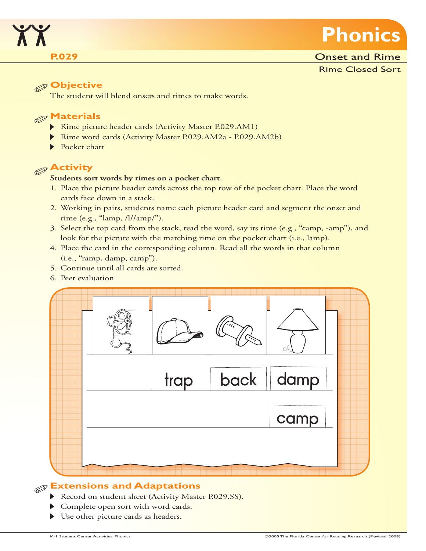

### **Objective**

The student will blend onsets and rimes to make words.

# **Materials**

- Rime picture header cards (Activity Master P.029.AM1)
- Rime word cards (Activity Master P.029.AM2a P.029.AM2b)
- Pocket chart

# **Activity**

#### **Students sort words by rimes on a pocket chart.**

- 1. Place the picture header cards across the top row of the pocket chart. Place the word cards face down in a stack.
- 2. Working in pairs, students name each picture header card and segment the onset and rime (e.g., "lamp, /l//amp/").
- 3. Select the top card from the stack, read the word, say its rime (e.g., "camp, -amp"), and look for the picture with the matching rime on the pocket chart (i.e., lamp).
- 4. Place the card in the corresponding column. Read all the words in that column (i.e., "ramp, damp, camp").
- 5. Continue until all cards are sorted.
- 6. Peer evaluation



# **Extensions and Adaptations**

- Record on student sheet (Activity Master P.029.SS).
- Complete open sort with word cards.
- Use other picture cards as headers.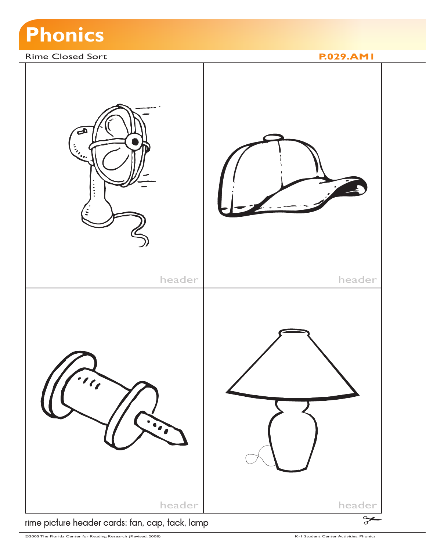

#### Rime Closed Sort **P.029.AM1**



rime picture header cards: fan, cap, tack, lamp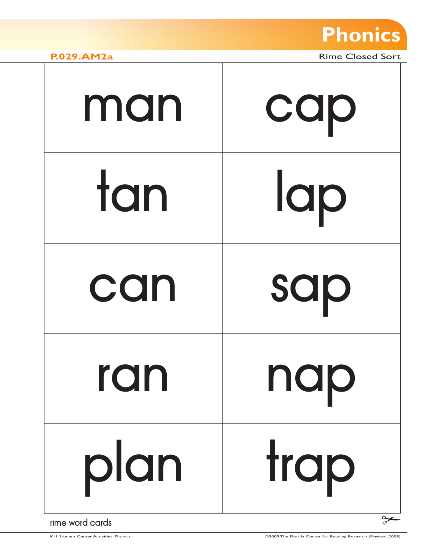

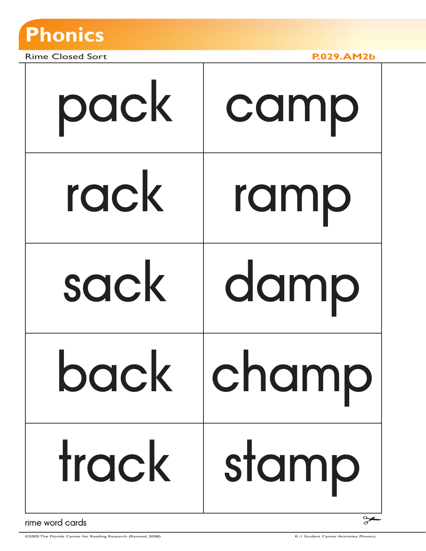

Rime Closed Sort **P.029.AM2b**

| pack  | camp  |
|-------|-------|
| rack  | ramp  |
| sack  | damp  |
| back  | cnamp |
| track | stamp |

rime word cards